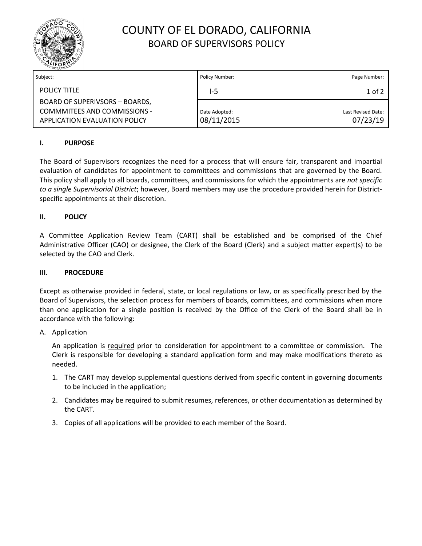

# COUNTY OF EL DORADO, CALIFORNIA BOARD OF SUPERVISORS POLICY

| Subject:                                                                                        | Policy Number:              | Page Number:                   |
|-------------------------------------------------------------------------------------------------|-----------------------------|--------------------------------|
| <b>POLICY TITLE</b>                                                                             | l-5                         | 1 of 2                         |
| BOARD OF SUPERIVSORS - BOARDS,<br>COMMMITEES AND COMMISSIONS -<br>APPLICATION EVALUATION POLICY | Date Adopted:<br>08/11/2015 | Last Revised Date:<br>07/23/19 |

## **I. PURPOSE**

The Board of Supervisors recognizes the need for a process that will ensure fair, transparent and impartial evaluation of candidates for appointment to committees and commissions that are governed by the Board. This policy shall apply to all boards, committees, and commissions for which the appointments are *not specific to a single Supervisorial District*; however, Board members may use the procedure provided herein for Districtspecific appointments at their discretion.

## **II. POLICY**

A Committee Application Review Team (CART) shall be established and be comprised of the Chief Administrative Officer (CAO) or designee, the Clerk of the Board (Clerk) and a subject matter expert(s) to be selected by the CAO and Clerk.

### **III. PROCEDURE**

Except as otherwise provided in federal, state, or local regulations or law, or as specifically prescribed by the Board of Supervisors, the selection process for members of boards, committees, and commissions when more than one application for a single position is received by the Office of the Clerk of the Board shall be in accordance with the following:

#### A. Application

An application is required prior to consideration for appointment to a committee or commission. The Clerk is responsible for developing a standard application form and may make modifications thereto as needed.

- 1. The CART may develop supplemental questions derived from specific content in governing documents to be included in the application;
- 2. Candidates may be required to submit resumes, references, or other documentation as determined by the CART.
- 3. Copies of all applications will be provided to each member of the Board.